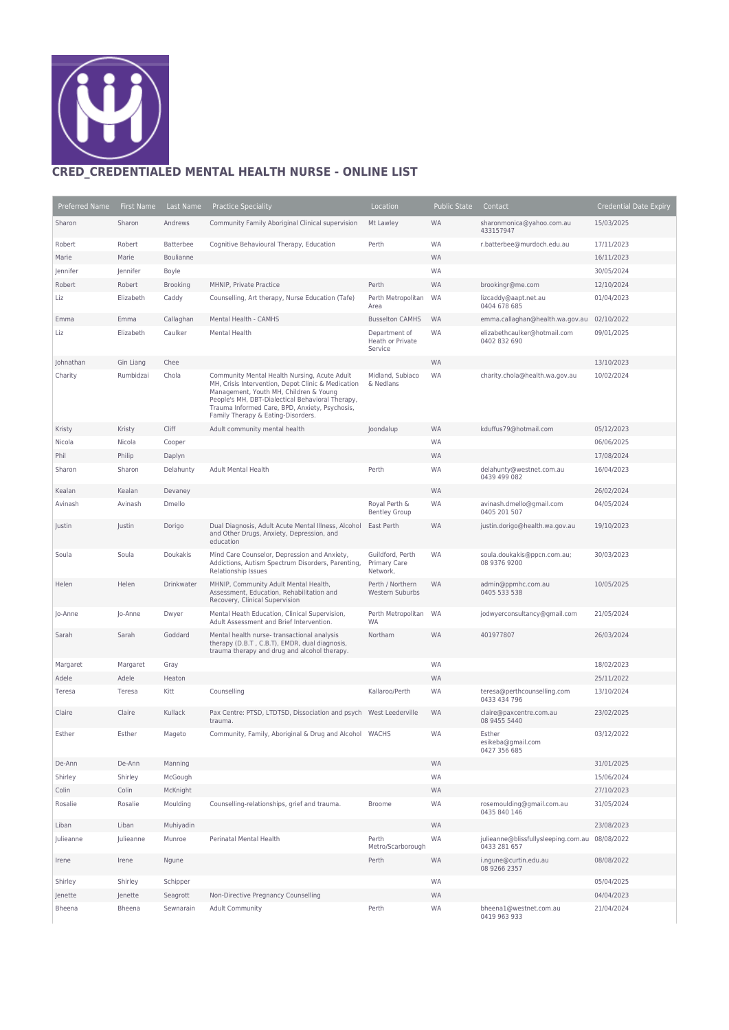

## **CRED\_CREDENTIALED MENTAL HEALTH NURSE - ONLINE LIST**

| Preferred Name | First Name | Last Name       | <b>Practice Speciality</b>                                                                                                                                                                                                                                                               | Location                                     | <b>Public State</b> | Contact                                             | <b>Credential Date Expiry</b> |
|----------------|------------|-----------------|------------------------------------------------------------------------------------------------------------------------------------------------------------------------------------------------------------------------------------------------------------------------------------------|----------------------------------------------|---------------------|-----------------------------------------------------|-------------------------------|
| Sharon         | Sharon     | Andrews         | Community Family Aboriginal Clinical supervision                                                                                                                                                                                                                                         | Mt Lawley                                    | <b>WA</b>           | sharonmonica@yahoo.com.au<br>433157947              | 15/03/2025                    |
| Robert         | Robert     | Batterbee       | Cognitive Behavioural Therapy, Education                                                                                                                                                                                                                                                 | Perth                                        | WA                  | r.batterbee@murdoch.edu.au                          | 17/11/2023                    |
| Marie          | Marie      | Boulianne       |                                                                                                                                                                                                                                                                                          |                                              | <b>WA</b>           |                                                     | 16/11/2023                    |
| Jennifer       | Jennifer   | Boyle           |                                                                                                                                                                                                                                                                                          |                                              | WA                  |                                                     | 30/05/2024                    |
| Robert         | Robert     | <b>Brooking</b> | MHNIP, Private Practice                                                                                                                                                                                                                                                                  | Perth                                        | <b>WA</b>           | brookingr@me.com                                    | 12/10/2024                    |
| Liz            | Elizabeth  | Caddy           | Counselling, Art therapy, Nurse Education (Tafe)                                                                                                                                                                                                                                         | Perth Metropolitan<br>Area                   | WA                  | lizcaddy@aapt.net.au<br>0404 678 685                | 01/04/2023                    |
| Emma           | Emma       | Callaghan       | Mental Health - CAMHS                                                                                                                                                                                                                                                                    | <b>Busselton CAMHS</b>                       | <b>WA</b>           | emma.callaghan@health.wa.gov.au                     | 02/10/2022                    |
| Liz            | Elizabeth  | Caulker         | Mental Health                                                                                                                                                                                                                                                                            | Department of<br>Heath or Private<br>Service | WA                  | elizabethcaulker@hotmail.com<br>0402 832 690        | 09/01/2025                    |
| Johnathan      | Gin Liang  | Chee            |                                                                                                                                                                                                                                                                                          |                                              | <b>WA</b>           |                                                     | 13/10/2023                    |
| Charity        | Rumbidzai  | Chola           | Community Mental Health Nursing, Acute Adult<br>MH, Crisis Intervention, Depot Clinic & Medication<br>Management, Youth MH, Children & Young<br>People's MH, DBT-Dialectical Behavioral Therapy,<br>Trauma Informed Care, BPD, Anxiety, Psychosis,<br>Family Therapy & Eating-Disorders. | Midland, Subiaco<br>& Nedlans                | WA                  | charity.chola@health.wa.gov.au                      | 10/02/2024                    |
| Kristy         | Kristy     | Cliff           | Adult community mental health                                                                                                                                                                                                                                                            | Joondalup                                    | <b>WA</b>           | kduffus79@hotmail.com                               | 05/12/2023                    |
| Nicola         | Nicola     | Cooper          |                                                                                                                                                                                                                                                                                          |                                              | WA                  |                                                     | 06/06/2025                    |
| Phil           | Philip     | Daplyn          |                                                                                                                                                                                                                                                                                          |                                              | <b>WA</b>           |                                                     | 17/08/2024                    |
| Sharon         | Sharon     | Delahunty       | <b>Adult Mental Health</b>                                                                                                                                                                                                                                                               | Perth                                        | WA                  | delahunty@westnet.com.au<br>0439 499 082            | 16/04/2023                    |
| Kealan         | Kealan     | Devaney         |                                                                                                                                                                                                                                                                                          |                                              | <b>WA</b>           |                                                     | 26/02/2024                    |
| Avinash        | Avinash    | Dmello          |                                                                                                                                                                                                                                                                                          | Royal Perth &<br><b>Bentley Group</b>        | WA                  | avinash.dmello@gmail.com<br>0405 201 507            | 04/05/2024                    |
| Justin         | Justin     | Dorigo          | Dual Diagnosis, Adult Acute Mental Illness, Alcohol<br>and Other Drugs, Anxiety, Depression, and<br>education                                                                                                                                                                            | East Perth                                   | <b>WA</b>           | justin.dorigo@health.wa.gov.au                      | 19/10/2023                    |
| Soula          | Soula      | Doukakis        | Mind Care Counselor, Depression and Anxiety,<br>Addictions, Autism Spectrum Disorders, Parenting,<br>Relationship Issues                                                                                                                                                                 | Guildford, Perth<br>Primary Care<br>Network, | WA                  | soula.doukakis@ppcn.com.au;<br>08 9376 9200         | 30/03/2023                    |
| Helen          | Helen      | Drinkwater      | MHNIP, Community Adult Mental Health,<br>Assessment, Education, Rehabilitation and<br>Recovery, Clinical Supervision                                                                                                                                                                     | Perth / Northern<br>Western Suburbs          | <b>WA</b>           | admin@ppmhc.com.au<br>0405 533 538                  | 10/05/2025                    |
| Jo-Anne        | Jo-Anne    | Dwyer           | Mental Heath Education, Clinical Supervision,<br>Adult Assessment and Brief Intervention.                                                                                                                                                                                                | Perth Metropolitan<br>WA                     | WA                  | jodwyerconsultancy@gmail.com                        | 21/05/2024                    |
| Sarah          | Sarah      | Goddard         | Mental health nurse-transactional analysis<br>therapy (D.B.T, C.B.T), EMDR, dual diagnosis,<br>trauma therapy and drug and alcohol therapy.                                                                                                                                              | Northam                                      | <b>WA</b>           | 401977807                                           | 26/03/2024                    |
| Margaret       | Margaret   | Gray            |                                                                                                                                                                                                                                                                                          |                                              | WA                  |                                                     | 18/02/2023                    |
| Adele          | Adele      | Heaton          |                                                                                                                                                                                                                                                                                          |                                              | <b>WA</b>           |                                                     | 25/11/2022                    |
| Teresa         | Teresa     | Kitt            | Counselling                                                                                                                                                                                                                                                                              | Kallaroo/Perth                               | WA                  | teresa@perthcounselling.com<br>0433 434 796         | 13/10/2024                    |
| Claire         | Claire     | Kullack         | Pax Centre: PTSD, LTDTSD, Dissociation and psych West Leederville<br>trauma.                                                                                                                                                                                                             |                                              | <b>WA</b>           | claire@paxcentre.com.au<br>08 9455 5440             | 23/02/2025                    |
| Esther         | Esther     | Mageto          | Community, Family, Aboriginal & Drug and Alcohol WACHS                                                                                                                                                                                                                                   |                                              | WA                  | Esther<br>esikeba@gmail.com<br>0427 356 685         | 03/12/2022                    |
| De-Ann         | De-Ann     | Manning         |                                                                                                                                                                                                                                                                                          |                                              | <b>WA</b>           |                                                     | 31/01/2025                    |
| Shirley        | Shirley    | McGough         |                                                                                                                                                                                                                                                                                          |                                              | WA                  |                                                     | 15/06/2024                    |
| Colin          | Colin      | McKnight        |                                                                                                                                                                                                                                                                                          |                                              | <b>WA</b>           |                                                     | 27/10/2023                    |
| Rosalie        | Rosalie    | Moulding        | Counselling-relationships, grief and trauma.                                                                                                                                                                                                                                             | <b>Broome</b>                                | WA                  | rosemoulding@gmail.com.au<br>0435 840 146           | 31/05/2024                    |
| Liban          | Liban      | Muhiyadin       |                                                                                                                                                                                                                                                                                          |                                              | <b>WA</b>           |                                                     | 23/08/2023                    |
| Julieanne      | Julieanne  | Munroe          | Perinatal Mental Health                                                                                                                                                                                                                                                                  | Perth<br>Metro/Scarborough                   | WA                  | julieanne@blissfullysleeping.com.au<br>0433 281 657 | 08/08/2022                    |
| Irene          | Irene      | Ngune           |                                                                                                                                                                                                                                                                                          | Perth                                        | <b>WA</b>           | i.ngune@curtin.edu.au<br>08 9266 2357               | 08/08/2022                    |
| Shirley        | Shirley    | Schipper        |                                                                                                                                                                                                                                                                                          |                                              | WA                  |                                                     | 05/04/2025                    |
| Jenette        | Jenette    | Seagrott        | Non-Directive Pregnancy Counselling                                                                                                                                                                                                                                                      |                                              | <b>WA</b>           |                                                     | 04/04/2023                    |
| Bheena         | Bheena     | Sewnarain       | <b>Adult Community</b>                                                                                                                                                                                                                                                                   | Perth                                        | WA                  | bheena1@westnet.com.au<br>0419 963 933              | 21/04/2024                    |